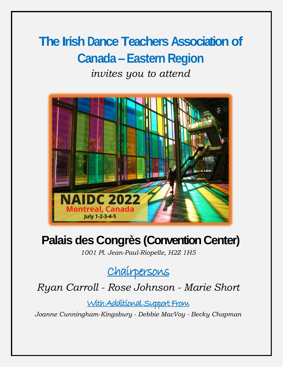# **The Irish Dance Teachers Association of Canada –Eastern Region**

*invites you to attend*



# **Palais des Congrès (Convention Center)**

*1001 Pl. Jean-Paul-Riopelle, H2Z 1H5*

Chairpersons

*Ryan Carroll - Rose Johnson - Marie Short* 

With Additional Support From

*Joanne Cunningham-Kingsbury - Debbie MacVoy - Becky Chapman*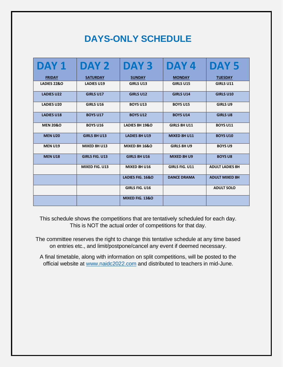# **DAYS-ONLY SCHEDULE**

| DAY 1               | DAY 2                 | DAY <sub>3</sub>          | DAY 4                 | DAY <sub>5</sub>       |
|---------------------|-----------------------|---------------------------|-----------------------|------------------------|
| <b>FRIDAY</b>       | <b>SATURDAY</b>       | <b>SUNDAY</b>             | <b>MONDAY</b>         | <b>TUESDAY</b>         |
| LADIES 22&O         | <b>LADIES U19</b>     | <b>GIRLS U13</b>          | <b>GIRLS U15</b>      | <b>GIRLS U11</b>       |
| <b>LADIES U22</b>   | <b>GIRLS U17</b>      | <b>GIRLS U12</b>          | <b>GIRLS U14</b>      | <b>GIRLS U10</b>       |
| <b>LADIES U20</b>   | <b>GIRLS U16</b>      | <b>BOYS U13</b>           | <b>BOYS U15</b>       | <b>GIRLS U9</b>        |
| <b>LADIES U18</b>   | <b>BOYS U17</b>       | <b>BOYS U12</b>           | <b>BOYS U14</b>       | <b>GIRLS U8</b>        |
| <b>MEN 20&amp;O</b> | <b>BOYS U16</b>       | <b>LADIES 8H 19&amp;O</b> | <b>GIRLS 8H U11</b>   | <b>BOYS U11</b>        |
| <b>MEN U20</b>      | <b>GIRLS 8H U13</b>   | <b>LADIES 8H U19</b>      | MIXED 8H U11          | <b>BOYS U10</b>        |
| <b>MEN U19</b>      | MIXED 8H U13          | <b>MIXED 8H 16&amp;O</b>  | <b>GIRLS 8H U9</b>    | <b>BOYS U9</b>         |
| <b>MEN U18</b>      | <b>GIRLS FIG. U13</b> | <b>GIRLS 8H U16</b>       | MIXED 8H U9           | <b>BOYS U8</b>         |
|                     | MIXED FIG. U13        | MIXED 8H U16              | <b>GIRLS FIG. U11</b> | <b>ADULT LADIES 8H</b> |
|                     |                       | LADIES FIG. 16&O          | <b>DANCE DRAMA</b>    | <b>ADULT MIXED 8H</b>  |
|                     |                       | <b>GIRLS FIG. U16</b>     |                       | <b>ADULT SOLO</b>      |
|                     |                       | MIXED FIG. 13&O           |                       |                        |

This schedule shows the competitions that are tentatively scheduled for each day. This is NOT the actual order of competitions for that day.

The committee reserves the right to change this tentative schedule at any time based on entries etc., and limit/postpone/cancel any event if deemed necessary.

A final timetable, along with information on split competitions, will be posted to the official website at [www.naidc2022.com](http://www.naidc2022.com/) and distributed to teachers in mid-June.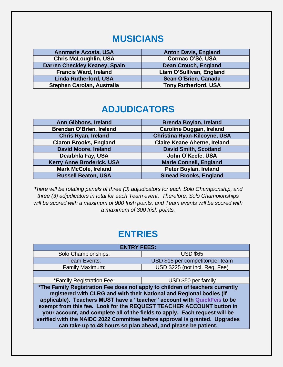### **MUSICIANS**

| <b>Annmarie Acosta, USA</b>          | <b>Anton Davis, England</b> |
|--------------------------------------|-----------------------------|
| <b>Chris McLoughlin, USA</b>         | Cormac O'Sé, USA            |
| <b>Darren Checkley Keaney, Spain</b> | <b>Dean Crouch, England</b> |
| <b>Francis Ward, Ireland</b>         | Liam O'Sullivan, England    |
| <b>Linda Rutherford, USA</b>         | Sean O'Brien, Canada        |
| Stephen Carolan, Australia           | <b>Tony Rutherford, USA</b> |

### **ADJUDICATORS**

| Ann Gibbons, Ireland             | <b>Brenda Boylan, Ireland</b>       |
|----------------------------------|-------------------------------------|
| <b>Brendan O'Brien, Ireland</b>  | <b>Caroline Duggan, Ireland</b>     |
| <b>Chris Ryan, Ireland</b>       | <b>Christina Ryan-Kilcoyne, USA</b> |
| <b>Ciaron Brooks, England</b>    | <b>Claire Keane Aherne, Ireland</b> |
| <b>David Moore, Ireland</b>      | <b>David Smith, Scotland</b>        |
| Dearbhla Fay, USA                | John O'Keefe, USA                   |
| <b>Kerry Anne Broderick, USA</b> | <b>Marie Connell, England</b>       |
| <b>Mark McCole, Ireland</b>      | Peter Boylan, Ireland               |
| <b>Russell Beaton, USA</b>       | <b>Sinead Brooks, England</b>       |

*There will be rotating panels of three (3) adjudicators for each Solo Championship, and three (3) adjudicators in total for each Team event. Therefore, Solo Championships will be scored with a maximum of 900 Irish points, and Team events will be scored with a maximum of 300 Irish points.* 

## **ENTRIES**

| <b>ENTRY FEES:</b>                                                                                                                                                                                                                                                                                                                                                                                                                                                                                                                       |                                  |  |  |  |
|------------------------------------------------------------------------------------------------------------------------------------------------------------------------------------------------------------------------------------------------------------------------------------------------------------------------------------------------------------------------------------------------------------------------------------------------------------------------------------------------------------------------------------------|----------------------------------|--|--|--|
| Solo Championships:                                                                                                                                                                                                                                                                                                                                                                                                                                                                                                                      | <b>USD \$65</b>                  |  |  |  |
| <b>Team Events:</b>                                                                                                                                                                                                                                                                                                                                                                                                                                                                                                                      | USD \$15 per competitor/per team |  |  |  |
| <b>Family Maximum:</b>                                                                                                                                                                                                                                                                                                                                                                                                                                                                                                                   | USD \$225 (not incl. Reg. Fee)   |  |  |  |
|                                                                                                                                                                                                                                                                                                                                                                                                                                                                                                                                          |                                  |  |  |  |
| *Family Registration Fee:                                                                                                                                                                                                                                                                                                                                                                                                                                                                                                                | USD \$50 per family              |  |  |  |
| *The Family Registration Fee does not apply to children of teachers currently<br>registered with CLRG and with their National and Regional bodies (if<br>applicable). Teachers MUST have a "teacher" account with QuickFeis to be<br>exempt from this fee. Look for the REQUEST TEACHER ACCOUNT button in<br>your account, and complete all of the fields to apply. Each request will be<br>verified with the NAIDC 2022 Committee before approval is granted. Upgrades<br>can take up to 48 hours so plan ahead, and please be patient. |                                  |  |  |  |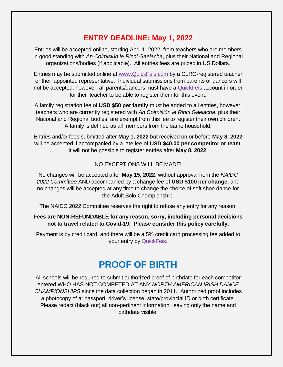#### **ENTRY DEADLINE: May 1, 2022**

Entries will be accepted online, starting April 1, 2022, from teachers who are members in good standing with *An Coimisiún le Rincí Gaelacha*, plus their National and Regional organizations/bodies (if applicable). All entries fees are priced in US Dollars.

Entries may be submitted online at [www.QuickFeis.com](file:///C:/Users/rye76/Documents/Irish%20Dance/IDTACE/NAIDC2022/www.QuickFeis.com) by a CLRG-registered teacher or their appointed representative. Individual submissions from parents or dancers will not be accepted, however, all parents/dancers must have a QuickFeis account in order for their teacher to be able to register them for this event.

A family registration fee of **USD \$50 per family** must be added to all entries, however, teachers who are currently registered with *An Coimisiún le Rincí Gaelacha*, plus their National and Regional bodies, are exempt from this fee to register their own children. A family is defined as all members from the same household.

Entries and/or fees submitted after **May 1, 2022** but received on or before **May 8, 2022** will be accepted if accompanied by a late fee of **USD \$40.00 per competitor or team**. It will not be possible to register entries after **May 8, 2022**.

#### NO EXCEPTIONS WILL BE MADE!

No changes will be accepted after **May 15, 2022**, without approval from the *NAIDC 2022 Committee* AND accompanied by a change fee of **USD \$100 per change**, and no changes will be accepted at any time to change the choice of soft shoe dance for the Adult Solo Championship.

The NAIDC 2022 Committee reserves the right to refuse any entry for any reason.

#### **Fees are NON-REFUNDABLE for any reason, sorry, including personal decisions not to travel related to Covid-19. Please consider this policy carefully.**

Payment is by credit card, and there will be a 5% credit card processing fee added to your entry by QuickFeis.

### **PROOF OF BIRTH**

All schools will be required to submit authorized proof of birthdate for each competitor entered WHO HAS NOT COMPETED AT ANY *NORTH AMERICAN IRISH DANCE CHAMPIONSHIPS* since the data collection began in 2011. Authorized proof includes a photocopy of a: passport, driver's license, state/provincial ID or birth certificate. Please redact (black out) all non-pertinent information, leaving only the name and birthdate visible.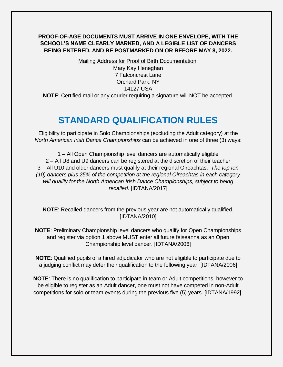#### **PROOF-OF-AGE DOCUMENTS MUST ARRIVE IN ONE ENVELOPE, WITH THE SCHOOL'S NAME CLEARLY MARKED, AND A LEGIBLE LIST OF DANCERS BEING ENTERED, AND BE POSTMARKED ON OR BEFORE MAY 8, 2022.**

Mailing Address for Proof of Birth Documentation:

Mary Kay Heneghan 7 Falconcrest Lane Orchard Park, NY 14127 USA

**NOTE**: Certified mail or any courier requiring a signature will NOT be accepted.

### **STANDARD QUALIFICATION RULES**

Eligibility to participate in Solo Championships (excluding the Adult category) at the *North American Irish Dance Championships* can be achieved in one of three (3) ways:

1 – All Open Championship level dancers are automatically eligible 2 – All U8 and U9 dancers can be registered at the discretion of their teacher 3 – All U10 and older dancers must qualify at their regional Oireachtas. *The top ten (10) dancers plus 25% of the competition at the regional Oireachtas in each category will qualify for the North American Irish Dance Championships, subject to being recalled*. [IDTANA/2017]

**NOTE**: Recalled dancers from the previous year are not automatically qualified. [IDTANA/2010]

**NOTE**: Preliminary Championship level dancers who qualify for Open Championships and register via option 1 above MUST enter all future feiseanna as an Open Championship level dancer. [IDTANA/2006]

**NOTE**: Qualified pupils of a hired adjudicator who are not eligible to participate due to a judging conflict may defer their qualification to the following year. [IDTANA/2006]

**NOTE**: There is no qualification to participate in team or Adult competitions, however to be eligible to register as an Adult dancer, one must not have competed in non-Adult competitions for solo or team events during the previous five (5) years. [IDTANA/1992].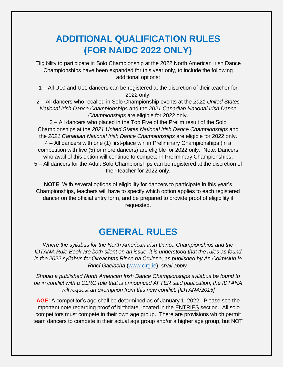## **ADDITIONAL QUALIFICATION RULES (FOR NAIDC 2022 ONLY)**

Eligibility to participate in Solo Championship at the 2022 North American Irish Dance Championships have been expanded for this year only, to include the following additional options:

1 – All U10 and U11 dancers can be registered at the discretion of their teacher for 2022 only.

2 – All dancers who recalled in Solo Championship events at the *2021 United States National Irish Dance Championships* and the *2021 Canadian National Irish Dance Championships* are eligible for 2022 only.

3 – All dancers who placed in the Top Five of the Prelim result of the Solo Championships at the *2021 United States National Irish Dance Championships* and the *2021 Canadian National Irish Dance Championships* are eligible for 2022 only. 4 – All dancers with one (1) first-place win in Preliminary Championships (in a competition with five (5) or more dancers) are eligible for 2022 only. Note: Dancers who avail of this option will continue to compete in Preliminary Championships. 5 – All dancers for the Adult Solo Championships can be registered at the discretion of their teacher for 2022 only.

**NOTE**: With several options of eligibility for dancers to participate in this year's Championships, teachers will have to specify which option applies to each registered dancer on the official entry form, and be prepared to provide proof of eligibility if requested.

### **GENERAL RULES**

*Where the syllabus for the North American Irish Dance Championships and the IDTANA Rule Book are both silent on an issue, it is understood that the rules as found in the 2022 syllabus for Oireachtas Rince na Cruinne, as published by An Coimisiún le Rincí Gaelacha* [\(www.clrg.ie\)](http://www.clrg.ie/), *shall apply.*

*Should a published North American Irish Dance Championships syllabus be found to be in conflict with a CLRG rule that is announced AFTER said publication, the IDTANA will request an exemption from this new conflict. [IDTANA/2015]*

**AGE**: A competitor's age shall be determined as of January 1, 2022. Please see the important note regarding proof of birthdate, located in the **ENTRIES** section. All solo competitors must compete in their own age group. There are provisions which permit team dancers to compete in their actual age group and/or a higher age group, but NOT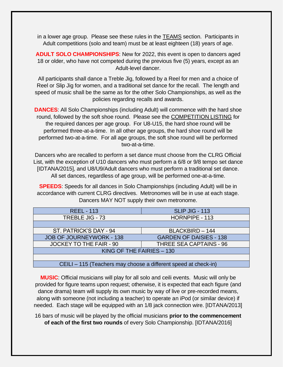in a lower age group. Please see these rules in the TEAMS section. Participants in Adult competitions (solo and team) must be at least eighteen (18) years of age.

**ADULT SOLO CHAMPIONSHIPS**: New for 2022, this event is open to dancers aged 18 or older, who have not competed during the previous five (5) years, except as an Adult-level dancer.

All participants shall dance a Treble Jig, followed by a Reel for men and a choice of Reel or Slip Jig for women, and a traditional set dance for the recall. The length and speed of music shall be the same as for the other Solo Championships, as well as the policies regarding recalls and awards.

**DANCES**: All Solo Championships (including Adult) will commence with the hard shoe round, followed by the soft shoe round. Please see the COMPETITION LISTING for the required dances per age group. For U8-U15, the hard shoe round will be performed three-at-a-time. In all other age groups, the hard shoe round will be performed two-at-a-time. For all age groups, the soft shoe round will be performed two-at-a-time.

Dancers who are recalled to perform a set dance must choose from the CLRG Official List, with the exception of U10 dancers who must perform a 6/8 or 9/8 tempo set dance [IDTANA/2015], and U8/U9/Adult dancers who must perform a traditional set dance. All set dances, regardless of age group, will be performed one-at-a-time.

**SPEEDS**: Speeds for all dances in Solo Championships (including Adult) will be in accordance with current CLRG directives. Metronomes will be in use at each stage. Dancers MAY NOT supply their own metronome.

| <b>REEL - 113</b>              | <b>SLIP JIG - 113</b>          |  |  |
|--------------------------------|--------------------------------|--|--|
| TREBLE JIG - 73                | HORNPIPE - 113                 |  |  |
|                                |                                |  |  |
| ST. PATRICK'S DAY - 94         | BLACKBIRD - 144                |  |  |
| JOB OF JOURNEYWORK - 138       | <b>GARDEN OF DAISIES - 138</b> |  |  |
| <b>JOCKEY TO THE FAIR - 90</b> | THREE SEA CAPTAINS - 96        |  |  |
| KING OF THE FAIRIES - 130      |                                |  |  |
|                                |                                |  |  |

CEILI – 115 (Teachers may choose a different speed at check-in)

**MUSIC**: Official musicians will play for all solo and ceili events. Music will only be provided for figure teams upon request; otherwise, it is expected that each figure (and dance drama) team will supply its own music by way of live or pre-recorded means, along with someone (not including a teacher) to operate an iPod (or similar device) if needed. Each stage will be equipped with an 1/8 jack connection wire. [IDTANA/2013]

16 bars of music will be played by the official musicians **prior to the commencement of each of the first two rounds** of every Solo Championship. [IDTANA/2016]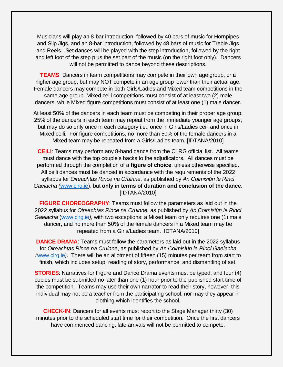Musicians will play an 8-bar introduction, followed by 40 bars of music for Hornpipes and Slip Jigs, and an 8-bar introduction, followed by 48 bars of music for Treble Jigs and Reels. Set dances will be played with the step introduction, followed by the right and left foot of the step plus the set part of the music (on the right foot only). Dancers will not be permitted to dance beyond these descriptions.

**TEAMS:** Dancers in team competitions may compete in their own age group, or a higher age group, but may NOT compete in an age group lower than their actual age. Female dancers may compete in both Girls/Ladies and Mixed team competitions in the same age group. Mixed ceili competitions must consist of at least two (2) male dancers, while Mixed figure competitions must consist of at least one (1) male dancer.

At least 50% of the dancers in each team must be competing in their proper age group. 25% of the dancers in each team may repeat from the immediate younger age groups, but may do so only once in each category i.e., once in Girls/Ladies ceili and once in Mixed ceili. For figure competitions, no more than 50% of the female dancers in a Mixed team may be repeated from a Girls/Ladies team. [IDTANA/2010]

**CEILI**: Teams may perform any 8-hand dance from the CLRG official list. All teams must dance with the top couple's backs to the adjudicators. All dances must be performed through the completion of a **figure of choice**, unless otherwise specified. All ceili dances must be danced in accordance with the requirements of the 2022 syllabus for *Oireachtas Rince na Cruinne*, as published by *An Coimisiún le Rincí Gaelacha (*[www.clrg.ie\)](http://www.clrg.ie/), but **only in terms of duration and conclusion of the dance**. [IDTANA/2010]

**FIGURE CHOREOGRAPHY**: Teams must follow the parameters as laid out in the 2022 syllabus for *Oireachtas Rince na Cruinne*, as published by *An Coimisiún le Rincí Gaelacha* [\(www.clrg.ie](http://www.clrg.ie/)*)*, with two exceptions: a Mixed team only requires one (1) male dancer, and no more than 50% of the female dancers in a Mixed team may be repeated from a Girls/Ladies team. [IDTANA/2010]

**DANCE DRAMA:** Teams must follow the parameters as laid out in the 2022 syllabus for *Oireachtas Rince na Cruinne*, as published by *An Coimisiún le Rincí Gaelacha (*[www.clrg.ie](http://www.clrg.ie/)*)*. There will be an allotment of fifteen (15) minutes per team from start to finish, which includes setup, reading of story, performance, and dismantling of set.

**STORIES:** Narratives for Figure and Dance Drama events must be typed, and four (4) copies must be submitted no later than one (1) hour prior to the published start time of the competition. Teams may use their own narrator to read their story, however, this individual may not be a teacher from the participating school, nor may they appear in clothing which identifies the school.

**CHECK-IN**: Dancers for all events must report to the Stage Manager thirty (30) minutes prior to the scheduled start time for their competition. Once the first dancers have commenced dancing, late arrivals will not be permitted to compete.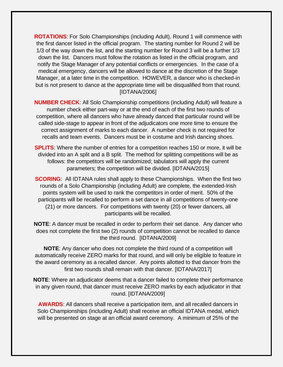**ROTATIONS**: For Solo Championships (including Adult), Round 1 will commence with the first dancer listed in the official program. The starting number for Round 2 will be 1/3 of the way down the list, and the starting number for Round 3 will be a further 1/3 down the list. Dancers must follow the rotation as listed in the official program, and notify the Stage Manager of any potential conflicts or emergencies. In the case of a medical emergency, dancers will be allowed to dance at the discretion of the Stage Manager, at a later time in the competition. HOWEVER, a dancer who is checked-in but is not present to dance at the appropriate time will be disqualified from that round. [IDTANA/2006]

**NUMBER CHECK**: All Solo Championship competitions (including Adult) will feature a number check either part-way or at the end of each of the first two rounds of competition, where all dancers who have already danced that particular round will be called side-stage to appear in front of the adjudicators one more time to ensure the correct assignment of marks to each dancer. A number check is not required for recalls and team events. Dancers must be in costume and Irish dancing shoes.

**SPLITS**: Where the number of entries for a competition reaches 150 or more, it will be divided into an A split and a B split. The method for splitting competitions will be as follows: the competitors will be randomized; tabulators will apply the current parameters; the competition will be divided. [IDTANA/2015]

**SCORING:** All IDTANA rules shall apply to these Championships. When the first two rounds of a Solo Championship (including Adult) are complete, the extended-Irish points system will be used to rank the competitors in order of merit. 50% of the participants will be recalled to perform a set dance in all competitions of twenty-one (21) or more dancers. For competitions with twenty (20) or fewer dancers, all participants will be recalled.

**NOTE**: A dancer must be recalled in order to perform their set dance. Any dancer who does not complete the first two (2) rounds of competition cannot be recalled to dance the third round. [IDTANA/2009]

**NOTE**: Any dancer who does not complete the third round of a competition will automatically receive ZERO marks for that round, and will only be eligible to feature in the award ceremony as a recalled dancer. Any points allotted to that dancer from the first two rounds shall remain with that dancer. [IDTANA/2017]

**NOTE**: Where an adjudicator deems that a dancer failed to complete their performance in any given round, that dancer must receive ZERO marks by each adjudicator in that round. [IDTANA/2009]

**AWARDS**: All dancers shall receive a participation item, and all recalled dancers in Solo Championships (including Adult) shall receive an official IDTANA medal, which will be presented on stage at an official award ceremony. A minimum of 25% of the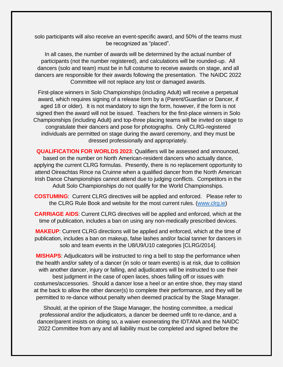solo participants will also receive an event-specific award, and 50% of the teams must be recognized as "placed".

In all cases, the number of awards will be determined by the actual number of participants (not the number registered), and calculations will be rounded-up. All dancers (solo and team) must be in full costume to receive awards on stage, and all dancers are responsible for their awards following the presentation. The NAIDC 2022 Committee will not replace any lost or damaged awards.

First-place winners in Solo Championships (including Adult) will receive a perpetual award, which requires signing of a release form by a (Parent/Guardian or Dancer, if aged 18 or older). It is not mandatory to sign the form, however, if the form is not signed then the award will not be issued. Teachers for the first-place winners in Solo Championships (including Adult) and top-three placing teams will be invited on stage to congratulate their dancers and pose for photographs. Only CLRG-registered individuals are permitted on stage during the award ceremony, and they must be dressed professionally and appropriately.

**QUALIFICATION FOR WORLDS 2023**: Qualifiers will be assessed and announced, based on the number on North American-resident dancers who actually dance, applying the current CLRG formulas. Presently, there is no replacement opportunity to attend Oireachtas Rince na Cruinne when a qualified dancer from the North American Irish Dance Championships cannot attend due to judging conflicts. Competitors in the Adult Solo Championships do not qualify for the World Championships.

**COSTUMING**: Current CLRG directives will be applied and enforced. Please refer to the CLRG Rule Book and website for the most current rules. [\(www.clrg.ie\)](http://www.clrg.ie/)

**CARRIAGE AIDS**: Current CLRG directives will be applied and enforced, which at the time of publication, includes a ban on using any non-medically prescribed devices.

**MAKEUP**: Current CLRG directions will be applied and enforced, which at the time of publication, includes a ban on makeup, false lashes and/or facial tanner for dancers in solo and team events in the U8/U9/U10 categories [CLRG/2014].

**MISHAPS**: Adjudicators will be instructed to ring a bell to stop the performance when the health and/or safety of a dancer (in solo or team events) is at risk, due to collision with another dancer, injury or falling, and adjudicators will be instructed to use their best judgment in the case of open laces, shoes falling off or issues with costumes/accessories. Should a dancer lose a heel or an entire shoe, they may stand at the back to allow the other dancer(s) to complete their performance, and they will be permitted to re-dance without penalty when deemed practical by the Stage Manager.

Should, at the opinion of the Stage Manager, the hosting committee, a medical professional and/or the adjudicators, a dancer be deemed unfit to re-dance, and a dancer/parent insists on doing so, a waiver exonerating the IDTANA and the NAIDC 2022 Committee from any and all liability must be completed and signed before the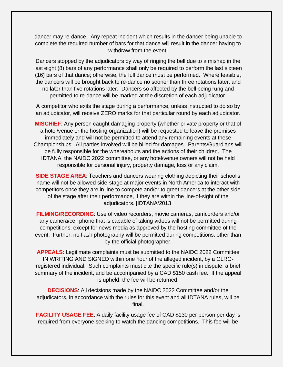dancer may re-dance. Any repeat incident which results in the dancer being unable to complete the required number of bars for that dance will result in the dancer having to withdraw from the event.

Dancers stopped by the adjudicators by way of ringing the bell due to a mishap in the last eight (8) bars of any performance shall only be required to perform the last sixteen (16) bars of that dance; otherwise, the full dance must be performed. Where feasible, the dancers will be brought back to re-dance no sooner than three rotations later, and no later than five rotations later. Dancers so affected by the bell being rung and permitted to re-dance will be marked at the discretion of each adjudicator.

A competitor who exits the stage during a performance, unless instructed to do so by an adjudicator, will receive ZERO marks for that particular round by each adjudicator.

**MISCHIEF**: Any person caught damaging property (whether private property or that of a hotel/venue or the hosting organization) will be requested to leave the premises immediately and will not be permitted to attend any remaining events at these Championships. All parties involved will be billed for damages. Parents/Guardians will be fully responsible for the whereabouts and the actions of their children. The IDTANA, the NAIDC 2022 committee, or any hotel/venue owners will not be held responsible for personal injury, property damage, loss or any claim.

**SIDE STAGE AREA**: Teachers and dancers wearing clothing depicting their school's name will not be allowed side-stage at major events in North America to interact with competitors once they are in line to compete and/or to greet dancers at the other side of the stage after their performance, if they are within the line-of-sight of the adjudicators. [IDTANA/2013]

**FILMING/RECORDING**: Use of video recorders, movie cameras, camcorders and/or any camera/cell phone that is capable of taking videos will not be permitted during competitions, except for news media as approved by the hosting committee of the event. Further, no flash photography will be permitted during competitions, other than by the official photographer.

**APPEALS**: Legitimate complaints must be submitted to the NAIDC 2022 Committee IN WRITING AND SIGNED within one hour of the alleged incident, by a CLRGregistered individual. Such complaints must cite the specific rule(s) in dispute, a brief summary of the incident, and be accompanied by a CAD \$150 cash fee. If the appeal is upheld, the fee will be returned.

**DECISIONS**: All decisions made by the NAIDC 2022 Committee and/or the adjudicators, in accordance with the rules for this event and all IDTANA rules, will be final.

**FACILITY USAGE FEE:** A daily facility usage fee of CAD \$130 per person per day is required from everyone seeking to watch the dancing competitions. This fee will be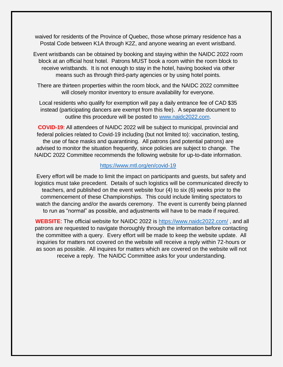waived for residents of the Province of Quebec, those whose primary residence has a Postal Code between K1A through K2Z, and anyone wearing an event wristband.

Event wristbands can be obtained by booking and staying within the NAIDC 2022 room block at an official host hotel. Patrons MUST book a room within the room block to receive wristbands. It is not enough to stay in the hotel, having booked via other means such as through third-party agencies or by using hotel points.

There are thirteen properties within the room block, and the NAIDC 2022 committee will closely monitor inventory to ensure availability for everyone.

Local residents who qualify for exemption will pay a daily entrance fee of CAD \$35 instead (participating dancers are exempt from this fee). A separate document to outline this procedure will be posted to [www.naidc2022.com.](http://www.naidc2022.com/)

**COVID-19**: All attendees of NAIDC 2022 will be subject to municipal, provincial and federal policies related to Covid-19 including (but not limited to): vaccination, testing, the use of face masks and quarantining. All patrons (and potential patrons) are advised to monitor the situation frequently, since policies are subject to change. The NAIDC 2022 Committee recommends the following website for up-to-date information.

#### <https://www.mtl.org/en/covid-19>

Every effort will be made to limit the impact on participants and guests, but safety and logistics must take precedent. Details of such logistics will be communicated directly to teachers, and published on the event website four (4) to six (6) weeks prior to the commencement of these Championships. This could include limiting spectators to watch the dancing and/or the awards ceremony. The event is currently being planned to run as "normal" as possible, and adjustments will have to be made if required.

**WEBSITE**: The official website for NAIDC 2022 is<https://www.naidc2022.com/> , and all patrons are requested to navigate thoroughly through the information before contacting the committee with a query. Every effort will be made to keep the website update. All inquiries for matters not covered on the website will receive a reply within 72-hours or as soon as possible. All inquires for matters which are covered on the website will not receive a reply. The NAIDC Committee asks for your understanding.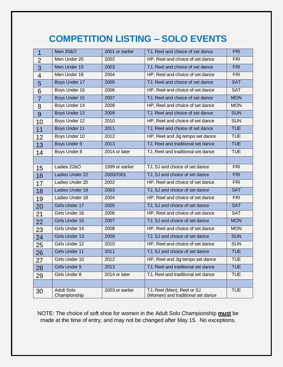# **COMPETITION LISTING – SOLO EVENTS**

| $\overline{1}$ | <b>Men 20&amp;O</b>               | 2001 or earlier | TJ, Reel and choice of set dance                                | <b>FRI</b> |
|----------------|-----------------------------------|-----------------|-----------------------------------------------------------------|------------|
| $\overline{2}$ | Men Under 20                      | 2002            | HP, Reel and choice of set dance                                | <b>FRI</b> |
| 3              | Men Under 19                      | 2003            | TJ, Reel and choice of set dance                                | <b>FRI</b> |
| 4              | Men Under 18                      | 2004            | HP, Reel and choice of set dance                                | <b>FRI</b> |
| 5              | Boys Under 17                     | 2005            | TJ, Reel and choice of set dance                                | <b>SAT</b> |
| 6              | Boys Under 16                     | 2006            | HP, Reel and choice of set dance                                | <b>SAT</b> |
| $\overline{7}$ | Boys Under 15                     | 2007            | TJ, Reel and choice of set dance                                | <b>MON</b> |
| 8              | Boys Under 14                     | 2008            | HP, Reel and choice of set dance                                | <b>MON</b> |
| 9              | Boys Under 13                     | 2009            | TJ, Reel and choice of set dance                                | <b>SUN</b> |
| 10             | Boys Under 12                     | 2010            | HP, Reel and choice of set dance                                | <b>SUN</b> |
| 11             | <b>Boys Under 11</b>              | 2011            | TJ, Reel and choice of set dance                                | <b>TUE</b> |
| 12             | Boys Under 10                     | 2012            | HP, Reel and Jig tempo set dance                                | <b>TUE</b> |
| 13             | <b>Boys Under 9</b>               | 2013            | TJ, Reel and traditional set dance                              | <b>TUE</b> |
| 14             | Boys Under 8                      | 2014 or later   | TJ, Reel and traditional set dance                              | <b>TUE</b> |
|                |                                   |                 |                                                                 |            |
| 15             | Ladies 22&O                       | 1999 or earlier | TJ, SJ and choice of set dance                                  | <b>FRI</b> |
| 16             | Ladies Under 22                   | 2000/2001       | TJ, SJ and choice of set dance                                  | <b>FRI</b> |
| 17             | Ladies Under 20                   | 2002            | HP, Reel and choice of set dance                                | <b>FRI</b> |
| 18             | Ladies Under 19                   | 2003            | TJ, SJ and choice of set dance                                  | <b>SAT</b> |
| 19             | Ladies Under 18                   | 2004            | HP, Reel and choice of set dance                                | <b>FRI</b> |
| 20             | Girls Under 17                    | 2005            | TJ, SJ and choice of set dance                                  | <b>SAT</b> |
| 21             | Girls Under 16                    | 2006            | HP, Reel and choice of set dance                                | <b>SAT</b> |
| 22             | Girls Under 15                    | 2007            | TJ, SJ and choice of set dance                                  | <b>MON</b> |
| 23             | Girls Under 14                    | 2008            | HP, Reel and choice of set dance                                | <b>MON</b> |
| 24             | Girls Under 13                    | 2009            | TJ, SJ and choice of set dance                                  | <b>SUN</b> |
| 25             | Girls Under 12                    | 2010            | HP, Reel and choice of set dance                                | <b>SUN</b> |
| 26             | Girls Under 11                    | 2011            | TJ, SJ and choice of set dance                                  | <b>TUE</b> |
| 27             | Girls Under 10                    | 2012            | HP, Reel and Jig tempo set dance                                | <b>TUE</b> |
| 28             | Girls Under 9                     | 2013            | TJ, Reel and traditional set dance                              | <b>TUE</b> |
| 29             | Girls Under 8                     | 2014 or later   | TJ, Reel and traditional set dance                              | <b>TUE</b> |
|                |                                   |                 |                                                                 |            |
| 30             | <b>Adult Solo</b><br>Championship | 2003 or earlier | TJ, Reel (Men), Reel or SJ<br>(Women) and traditional set dance | <b>TUE</b> |

NOTE: The choice of soft shoe for women in the Adult Solo Championship **must** be made at the time of entry, and may not be changed after May 15. No exceptions.